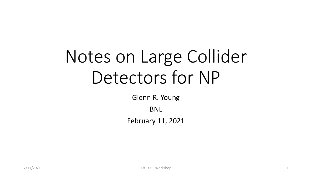# Notes on Large Collider Detectors for NP

Glenn R. Young

BNL

February 11, 2021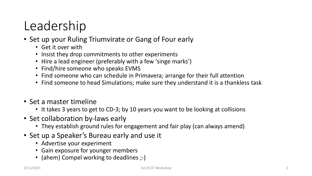# Leadership

- Set up your Ruling Triumvirate or Gang of Four early
	- Get it over with
	- Insist they drop commitments to other experiments
	- Hire a lead engineer (preferably with a few 'singe marks')
	- Find/hire someone who speaks EVMS
	- Find someone who can schedule in Primavera; arrange for their full attention
	- Find someone to head Simulations; make sure they understand it is a thankless task
- Set a master timeline
	- It takes 3 years to get to CD-3; by 10 years you want to be looking at collisions
- Set collaboration by-laws early
	- They establish ground rules for engagement and fair play (can always amend)
- Set up a Speaker's Bureau early and use it
	- Advertise your experiment
	- Gain exposure for younger members
	- (ahem) Compel working to deadlines ;-)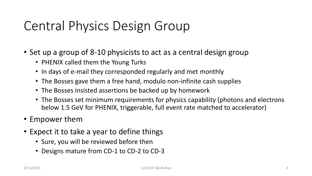# Central Physics Design Group

- Set up a group of 8-10 physicists to act as a central design group
	- PHENIX called them the Young Turks
	- In days of e-mail they corresponded regularly and met monthly
	- The Bosses gave them a free hand, modulo non-infinite cash supplies
	- The Bosses insisted assertions be backed up by homework
	- The Bosses set minimum requirements for physics capability (photons and electrons below 1.5 GeV for PHENIX, triggerable, full event rate matched to accelerator)
- Empower them
- Expect it to take a year to define things
	- Sure, you will be reviewed before then
	- Designs mature from CD-1 to CD-2 to CD-3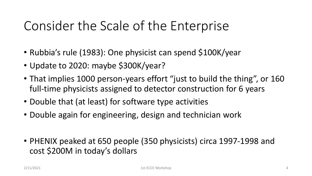#### Consider the Scale of the Enterprise

- Rubbia's rule (1983): One physicist can spend \$100K/year
- Update to 2020: maybe \$300K/year?
- That implies 1000 person-years effort "just to build the thing", or 160 full-time physicists assigned to detector construction for 6 years
- Double that (at least) for software type activities
- Double again for engineering, design and technician work
- PHENIX peaked at 650 people (350 physicists) circa 1997-1998 and cost \$200M in today's dollars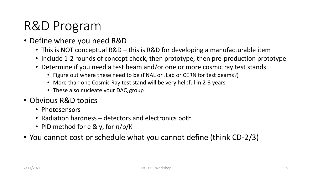#### R&D Program

- Define where you need R&D
	- This is NOT conceptual R&D this is R&D for developing a manufacturable item
	- Include 1-2 rounds of concept check, then prototype, then pre-production prototype
	- Determine if you need a test beam and/or one or more cosmic ray test stands
		- Figure out where these need to be (FNAL or JLab or CERN for test beams?)
		- More than one Cosmic Ray test stand will be very helpful in 2-3 years
		- These also nucleate your DAQ group
- Obvious R&D topics
	- Photosensors
	- Radiation hardness detectors and electronics both
	- PID method for e &  $\gamma$ , for  $\pi$ /p/K
- You cannot cost or schedule what you cannot define (think CD-2/3)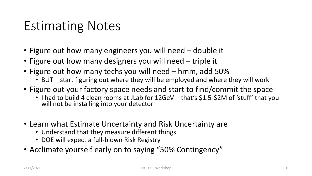#### Estimating Notes

- Figure out how many engineers you will need double it
- Figure out how many designers you will need triple it
- Figure out how many techs you will need hmm, add 50%
	- BUT start figuring out where they will be employed and where they will work
- Figure out your factory space needs and start to find/commit the space
	- I had to build 4 clean rooms at JLab for 12GeV that's \$1.5-\$2M of 'stuff' that you will not be installing into your detector
- Learn what Estimate Uncertainty and Risk Uncertainty are
	- Understand that they measure different things
	- DOE will expect a full-blown Risk Registry
- Acclimate yourself early on to saying "50% Contingency"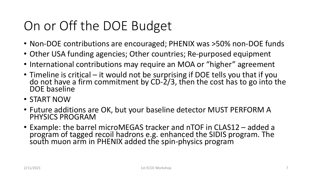# On or Off the DOE Budget

- Non-DOE contributions are encouraged; PHENIX was >50% non-DOE funds
- Other USA funding agencies; Other countries; Re-purposed equipment
- International contributions may require an MOA or "higher" agreement
- Timeline is critical it would not be surprising if DOE tells you that if you do not have a firm commitment by CD-2/3, then the cost has to go into the DOE baseline
- START NOW
- Future additions are OK, but your baseline detector MUST PERFORM A PHYSICS PROGRAM
- Example: the barrel microMEGAS tracker and nTOF in CLAS12 added a program of tagged recoil hadrons e.g. enhanced the SIDIS program. The south muon arm in PHENIX added the spin-physics program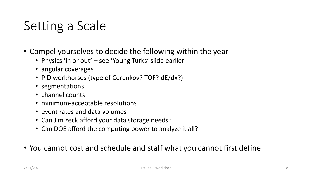### Setting a Scale

- Compel yourselves to decide the following within the year
	- Physics 'in or out' see 'Young Turks' slide earlier
	- angular coverages
	- PID workhorses (type of Cerenkov? TOF? dE/dx?)
	- segmentations
	- channel counts
	- minimum-acceptable resolutions
	- event rates and data volumes
	- Can Jim Yeck afford your data storage needs?
	- Can DOE afford the computing power to analyze it all?
- You cannot cost and schedule and staff what you cannot first define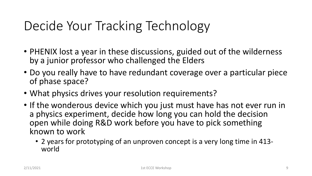# Decide Your Tracking Technology

- PHENIX lost a year in these discussions, guided out of the wilderness by a junior professor who challenged the Elders
- Do you really have to have redundant coverage over a particular piece of phase space?
- What physics drives your resolution requirements?
- If the wonderous device which you just must have has not ever run in a physics experiment, decide how long you can hold the decision open while doing R&D work before you have to pick something known to work
	- 2 years for prototyping of an unproven concept is a very long time in 413 world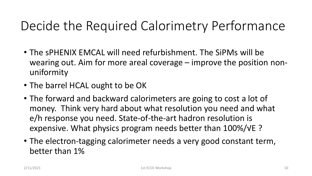#### Decide the Required Calorimetry Performance

- The sPHENIX EMCAL will need refurbishment. The SiPMs will be wearing out. Aim for more areal coverage – improve the position nonuniformity
- The barrel HCAL ought to be OK
- The forward and backward calorimeters are going to cost a lot of money. Think very hard about what resolution you need and what e/h response you need. State-of-the-art hadron resolution is expensive. What physics program needs better than 100%/√E ?
- The electron-tagging calorimeter needs a very good constant term, better than 1%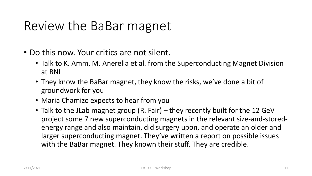#### Review the BaBar magnet

- Do this now. Your critics are not silent.
	- Talk to K. Amm, M. Anerella et al. from the Superconducting Magnet Division at BNL
	- They know the BaBar magnet, they know the risks, we've done a bit of groundwork for you
	- Maria Chamizo expects to hear from you
	- Talk to the JLab magnet group (R. Fair) they recently built for the 12 GeV project some 7 new superconducting magnets in the relevant size-and-storedenergy range and also maintain, did surgery upon, and operate an older and larger superconducting magnet. They've written a report on possible issues with the BaBar magnet. They known their stuff. They are credible.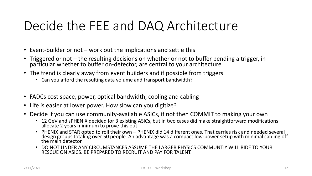#### Decide the FEE and DAQ Architecture

- Event-builder or not work out the implications and settle this
- Triggered or not the resulting decisions on whether or not to buffer pending a trigger, in particular whether to buffer on-detector, are central to your architecture
- The trend is clearly away from event builders and if possible from triggers
	- Can you afford the resulting data volume and transport bandwidth?
- FADCs cost space, power, optical bandwidth, cooling and cabling
- Life is easier at lower power. How slow can you digitize?
- Decide if you can use community-available ASICs, if not then COMMIT to making your own
	- 12 GeV and sPHENIX decided for 3 existing ASICs, but in two cases did make straightforward modifications allocate 2 years minimum to prove this out
	- PHENIX and STAR opted to roll their own PHENIX did 14 different ones. That carries risk and needed several design groups totaling over 50 people. An advantage was a compact low-power setup with minimal cabling off the main detector
	- DO NOT UNDER ANY CIRCUMSTANCES ASSUME THE LARGER PHYSICS COMMUNTIY WILL RIDE TO YOUR RESCUE ON ASICS. BE PREPARED TO RECRUIT AND PAY FOR TALENT.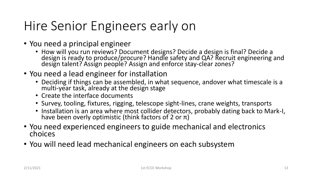#### Hire Senior Engineers early on

- You need a principal engineer
	- How will you run reviews? Document designs? Decide a design is final? Decide a design is ready to produce/procure? Handle safety and QA? Recruit engineering and design talent? Assign people? Assign and enforce stay-clear zones?
- You need a lead engineer for installation
	- Deciding if things can be assembled, in what sequence, andover what timescale is a multi-year task, already at the design stage
	- Create the interface documents
	- Survey, tooling, fixtures, rigging, telescope sight-lines, crane weights, transports
	- Installation is an area where most collider detectors, probably dating back to Mark-I, have been overly optimistic (think factors of 2 or  $\pi$ )
- You need experienced engineers to guide mechanical and electronics choices
- You will need lead mechanical engineers on each subsystem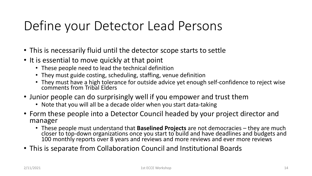### Define your Detector Lead Persons

- This is necessarily fluid until the detector scope starts to settle
- It is essential to move quickly at that point
	- These people need to lead the technical definition
	- They must guide costing, scheduling, staffing, venue definition
	- They must have a high tolerance for outside advice yet enough self-confidence to reject wise comments from Tribal Elders
- Junior people can do surprisingly well if you empower and trust them
	- Note that you will all be a decade older when you start data-taking
- Form these people into a Detector Council headed by your project director and manager
	- These people must understand that **Baselined Projects** are not democracies they are much closer to top-down organizations once you start to build and have deadlines and budgets and 100 monthly reports over 8 years and reviews and more reviews and ever more reviews
- This is separate from Collaboration Council and Institutional Boards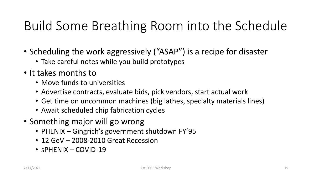# Build Some Breathing Room into the Schedule

- Scheduling the work aggressively ("ASAP") is a recipe for disaster
	- Take careful notes while you build prototypes
- It takes months to
	- Move funds to universities
	- Advertise contracts, evaluate bids, pick vendors, start actual work
	- Get time on uncommon machines (big lathes, specialty materials lines)
	- Await scheduled chip fabrication cycles
- Something major will go wrong
	- PHENIX Gingrich's government shutdown FY'95
	- 12 GeV 2008-2010 Great Recession
	- sPHENIX COVID-19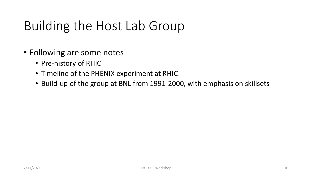### Building the Host Lab Group

- Following are some notes
	- Pre-history of RHIC
	- Timeline of the PHENIX experiment at RHIC
	- Build-up of the group at BNL from 1991-2000, with emphasis on skillsets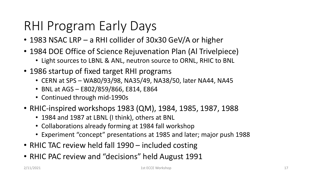# RHI Program Early Days

- 1983 NSAC LRP a RHI collider of 30x30 GeV/A or higher
- 1984 DOE Office of Science Rejuvenation Plan (Al Trivelpiece)
	- Light sources to LBNL & ANL, neutron source to ORNL, RHIC to BNL
- 1986 startup of fixed target RHI programs
	- CERN at SPS WA80/93/98, NA35/49, NA38/50, later NA44, NA45
	- BNL at AGS E802/859/866, E814, E864
	- Continued through mid-1990s
- RHIC-inspired workshops 1983 (QM), 1984, 1985, 1987, 1988
	- 1984 and 1987 at LBNL (I think), others at BNL
	- Collaborations already forming at 1984 fall workshop
	- Experiment "concept" presentations at 1985 and later; major push 1988
- RHIC TAC review held fall 1990 included costing
- RHIC PAC review and "decisions" held August 1991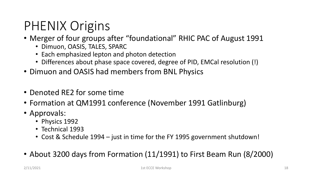# PHENIX Origins

- Merger of four groups after "foundational" RHIC PAC of August 1991
	- Dimuon, OASIS, TALES, SPARC
	- Each emphasized lepton and photon detection
	- Differences about phase space covered, degree of PID, EMCal resolution (!)
- Dimuon and OASIS had members from BNL Physics
- Denoted RE2 for some time
- Formation at QM1991 conference (November 1991 Gatlinburg)
- Approvals:
	- Physics 1992
	- Technical 1993
	- Cost & Schedule 1994 just in time for the FY 1995 government shutdown!
- About 3200 days from Formation (11/1991) to First Beam Run (8/2000)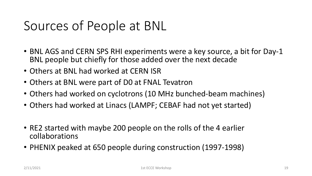#### Sources of People at BNL

- BNL AGS and CERN SPS RHI experiments were a key source, a bit for Day-1 BNL people but chiefly for those added over the next decade
- Others at BNL had worked at CERN ISR
- Others at BNL were part of D0 at FNAL Tevatron
- Others had worked on cyclotrons (10 MHz bunched-beam machines)
- Others had worked at Linacs (LAMPF; CEBAF had not yet started)
- RE2 started with maybe 200 people on the rolls of the 4 earlier collaborations
- PHENIX peaked at 650 people during construction (1997-1998)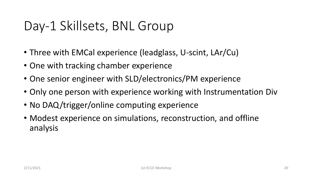#### Day-1 Skillsets, BNL Group

- Three with EMCal experience (leadglass, U-scint, LAr/Cu)
- One with tracking chamber experience
- One senior engineer with SLD/electronics/PM experience
- Only one person with experience working with Instrumentation Div
- No DAQ/trigger/online computing experience
- Modest experience on simulations, reconstruction, and offline analysis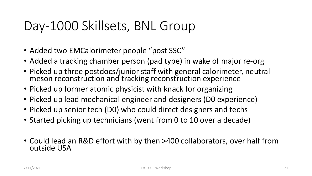#### Day-1000 Skillsets, BNL Group

- Added two EMCalorimeter people "post SSC"
- Added a tracking chamber person (pad type) in wake of major re-org
- Picked up three postdocs/junior staff with general calorimeter, neutral meson reconstruction and tracking reconstruction experience
- Picked up former atomic physicist with knack for organizing
- Picked up lead mechanical engineer and designers (D0 experience)
- Picked up senior tech (D0) who could direct designers and techs
- Started picking up technicians (went from 0 to 10 over a decade)
- Could lead an R&D effort with by then >400 collaborators, over half from outside USA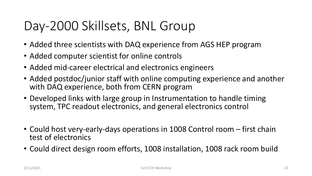#### Day-2000 Skillsets, BNL Group

- Added three scientists with DAQ experience from AGS HEP program
- Added computer scientist for online controls
- Added mid-career electrical and electronics engineers
- Added postdoc/junior staff with online computing experience and another with DAQ experience, both from CERN program
- Developed links with large group in Instrumentation to handle timing system, TPC readout electronics, and general electronics control
- Could host very-early-days operations in 1008 Control room first chain test of electronics
- Could direct design room efforts, 1008 installation, 1008 rack room build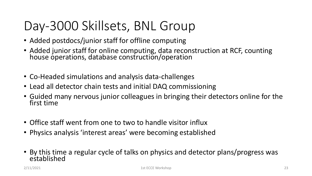# Day-3000 Skillsets, BNL Group

- Added postdocs/junior staff for offline computing
- Added junior staff for online computing, data reconstruction at RCF, counting house operations, database construction/operation
- Co-Headed simulations and analysis data-challenges
- Lead all detector chain tests and initial DAQ commissioning
- Guided many nervous junior colleagues in bringing their detectors online for the first time
- Office staff went from one to two to handle visitor influx
- Physics analysis 'interest areas' were becoming established
- By this time a regular cycle of talks on physics and detector plans/progress was established

2/11/2021 23 23